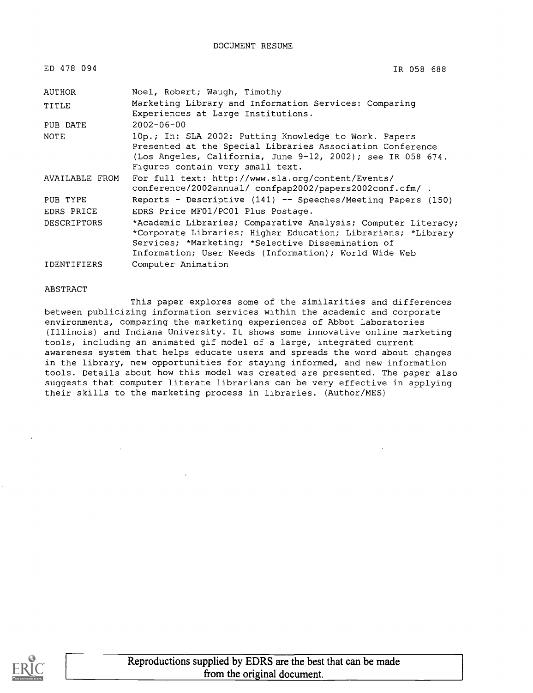| ED 478 094         | IR 058 688                                                                                                                                                                                                                                  |
|--------------------|---------------------------------------------------------------------------------------------------------------------------------------------------------------------------------------------------------------------------------------------|
| AUTHOR             | Noel, Robert; Waugh, Timothy                                                                                                                                                                                                                |
| TITLE              | Marketing Library and Information Services: Comparing<br>Experiences at Large Institutions.                                                                                                                                                 |
| PUB DATE           | $2002 - 06 - 00$                                                                                                                                                                                                                            |
| NOTE               | 10p.; In: SLA 2002: Putting Knowledge to Work. Papers<br>Presented at the Special Libraries Association Conference<br>(Los Angeles, California, June 9-12, 2002); see IR 058 674.<br>Figures contain very small text.                       |
| AVAILABLE FROM     | For full text: http://www.sla.org/content/Events/<br>conference/2002annual/ confpap2002/papers2002conf.cfm/.                                                                                                                                |
| PUB TYPE           | Reports - Descriptive $(141)$ -- Speeches/Meeting Papers $(150)$                                                                                                                                                                            |
| EDRS PRICE         | EDRS Price MF01/PC01 Plus Postage.                                                                                                                                                                                                          |
| <b>DESCRIPTORS</b> | *Academic Libraries; Comparative Analysis; Computer Literacy;<br>*Corporate Libraries; Higher Education; Librarians; *Library<br>Services; *Marketing; *Selective Dissemination of<br>Information; User Needs (Information); World Wide Web |
| <b>IDENTIFIERS</b> | Computer Animation                                                                                                                                                                                                                          |

#### ABSTRACT

This paper explores some of the similarities and differences between publicizing information services within the academic and corporate environments, comparing the marketing experiences of Abbot Laboratories (Illinois) and Indiana University. It shows some innovative online marketing tools, including an animated gif model of a large, integrated current awareness system that helps educate users and spreads the word about changes in the library, new opportunities for staying informed, and new information tools. Details about how this model was created are presented. The paper also suggests that computer literate librarians can be very effective in applying their skills to the marketing process in libraries. (Author/MES)

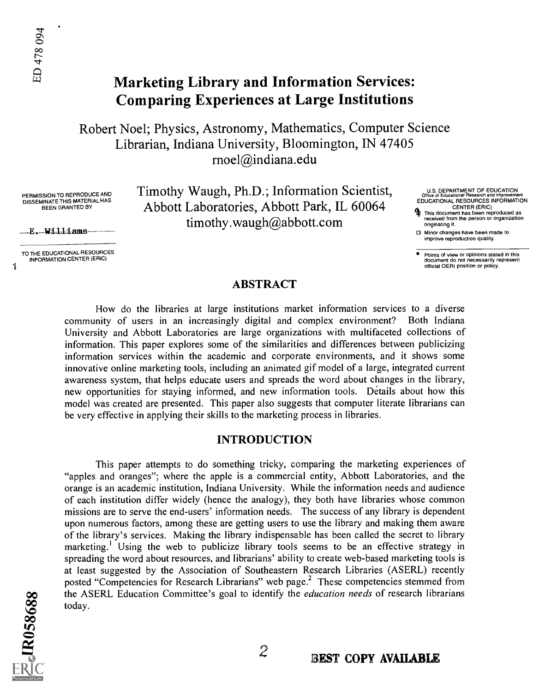### Marketing Library and Information Services: Comparing Experiences at Large Institutions

Robert Noel; Physics, Astronomy, Mathematics, Computer Science Librarian, Indiana University, Bloomington, IN 47405 rnoel@indiana.edu

PERMISSION TO REPRODUCE AND DISSEMINATE THIS MATERIAL HAS BEEN GRANTED BY

E. Williams

TO THE EDUCATIONAL RESOURCES INFORMATION CENTER (ERIC)

Timothy Waugh, Ph.D.; Information Scientist, Abbott Laboratories, Abbott Park, IL 60064 timothy.waugh@abbott.com

- U.S. DEPARTMENT OF EDUCATION<br>Crise of Educational Research and Improvement<br>EDUCATIONAL RESOURCES INFORMATION<br>CENTER (ERIC)
- This document has been reproduced as received from the person or organization originating it.
- Minor changes have been made to improve reproduction quality.
- Points of view or opinions stated in this document do not necessarily represent official OERI position or policy.

#### ABSTRACT

How do the libraries at large institutions market information services to a diverse community of users in an increasingly digital and complex environment? Both Indiana University and Abbott Laboratories are large organizations with multifaceted collections of information. This paper explores some of the similarities and differences between publicizing information services within the academic and corporate environments, and it shows some innovative online marketing tools, including an animated gif model of a large, integrated current awareness system, that helps educate users and spreads the word about changes in the library, new opportunities for staying informed, and new information tools. Details about how this model was created are presented. This paper also suggests that computer literate librarians can be very effective in applying their skills to the marketing process in libraries.

#### INTRODUCTION

This paper attempts to do something tricky, comparing the marketing experiences of "apples and oranges"; where the apple is a commercial entity, Abbott Laboratories, and the orange is an academic institution, Indiana University. While the information needs and audience of each institution differ widely (hence the analogy), they both have libraries whose common missions are to serve the end-users' information needs. The success of any library is dependent upon numerous factors, among these are getting users to use the library and making them aware of the library's services. Making the library indispensable has been called the secret to library marketing.<sup>1</sup> Using the web to publicize library tools seems to be an effective strategy in spreading the word about resources, and librarians' ability to create web-based marketing tools is at least suggested by the Association of Southeastern Research Libraries (ASERL) recently posted "Competencies for Research Librarians" web page.<sup>2</sup> These competencies stemmed from the ASERL Education Committee's goal to identify the *education needs* of research librarians today.

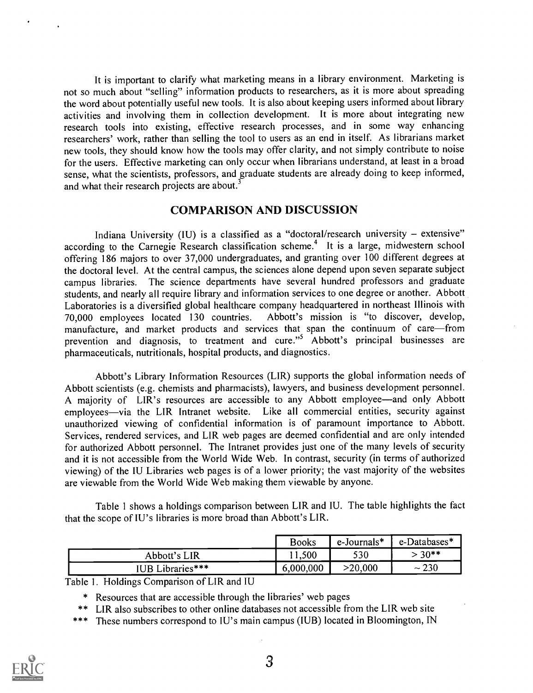It is important to clarify what marketing means in a library environment. Marketing is not so much about "selling" information products to researchers, as it is more about spreading the word about potentially useful new tools. It is also about keeping users informed about library activities and involving them in collection development. It is more about integrating new research tools into existing, effective research processes, and in some way enhancing researchers' work, rather than selling the tool to users as an end in itself. As librarians market new tools, they should know how the tools may offer clarity, and not simply contribute to noise for the users. Effective marketing can only occur when librarians understand, at least in a broad sense, what the scientists, professors, and graduate students are already doing to keep informed, and what their research projects are about.<sup>3</sup>

#### COMPARISON AND DISCUSSION

Indiana University (IU) is a classified as a "doctoral/research university  $-$  extensive" according to the Carnegie Research classification scheme.<sup>4</sup> It is a large, midwestern school offering 186 majors to over 37,000 undergraduates, and granting over 100 different degrees at the doctoral level. At the central campus, the sciences alone depend upon seven separate subject campus libraries. The science departments have several hundred professors and graduate students, and nearly all require library and information services to one degree or another. Abbott Laboratories is a diversified global healthcare company headquartered in northeast Illinois with<br>70.000 employees located 130 countries. Abbott's mission is "to discover, develop, 70,000 employees located 130 countries. manufacture, and market products and services that span the continuum of care—from prevention and diagnosis, to treatment and cure." Abbott's principal businesses are pharmaceuticals, nutritionals, hospital products, and diagnostics.

Abbott's Library Information Resources (LIR) supports the global information needs of Abbott scientists (e.g. chemists and pharmacists), lawyers, and business development personnel. A majority of LIR's resources are accessible to any Abbott employee—and only Abbott employees—via the LIR Intranet website. Like all commercial entities, security against unauthorized viewing of confidential information is of paramount importance to Abbott. Services, rendered services, and LIR web pages are deemed confidential and are only intended for authorized Abbott personnel. The Intranet provides just one of the many levels of security and it is not accessible from the World Wide Web. In contrast, security (in terms of authorized viewing) of the IU Libraries web pages is of a lower priority; the vast majority of the websites are viewable from the World Wide Web making them viewable by anyone.

Table 1 shows a holdings comparison between LIR and IU. The table highlights the fact that the scope of IU's libraries is more broad than Abbott's LIR.

|                  | <b>Books</b> | e-Journals* | $e$ -Databases* |
|------------------|--------------|-------------|-----------------|
| Abbott's LIR     | 1.500        | 530         | $30**$          |
| IUB Libraries*** | 6,000,000    | >20,000     | 230<br>$\sim$ . |

Table 1. Holdings Comparison of LIR and IU

\* Resources that are accessible through the libraries' web pages

\*\* LIR also \* Resources that are accessible through the libraries' web pages<br>\*\* LIR also subscribes to other online databases not accessible from the L<br>\*\*\* These numbers correspond to IU's main campus (IUB) located in Bloc LIR also subscribes to other online databases not accessible from the LIR web site

\*\*\* These numbers correspond to IU's main campus (IUB) located in Bloomington, IN

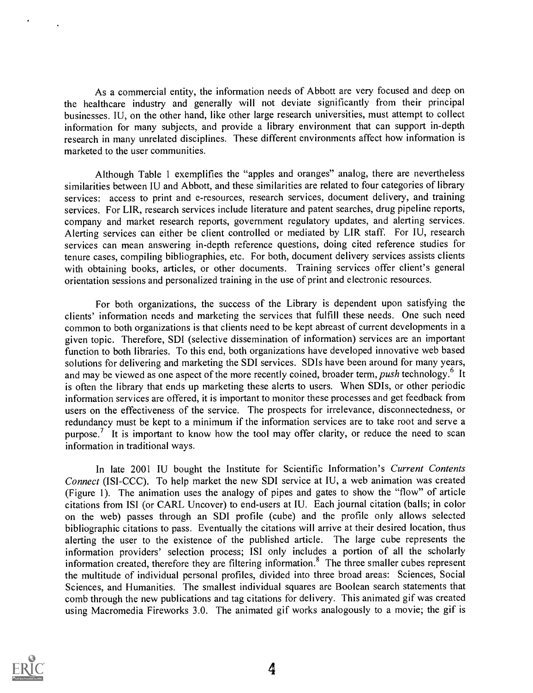As a commercial entity, the information needs of Abbott are very focused and deep on the healthcare industry and generally will not deviate significantly from their principal businesses. IU, on the other hand, like other large research universities, must attempt to collect information for many subjects, and provide a library environment that can support in-depth research in many unrelated disciplines. These different environments affect how information is marketed to the user communities.

Although Table 1 exemplifies the "apples and oranges" analog, there are nevertheless similarities between IU and Abbott, and these similarities are related to four categories of library services: access to print and e-resources, research services, document delivery, and training services. For LIR, research services include literature and patent searches, drug pipeline reports, company and market research reports, government regulatory updates, and alerting services. Alerting services can either be client controlled or mediated by LIR staff. For IU, research services can mean answering in-depth reference questions, doing cited reference studies for tenure cases, compiling bibliographies, etc. For both, document delivery services assists clients with obtaining books, articles, or other documents. Training services offer client's general orientation sessions and personalized training in the use of print and electronic resources.

For both organizations, the success of the Library is dependent upon satisfying the clients' information needs and marketing the services that fulfill these needs. One such need common to both organizations is that clients need to be kept abreast of current developments in a given topic. Therefore, SDI (selective dissemination of information) services are an important function to both libraries. To this end, both organizations have developed innovative web based solutions for delivering and marketing the SDI services. SDIs have been around for many years, and may be viewed as one aspect of the more recently coined, broader term, *push* technology.<sup>6</sup> It is often the library that ends up marketing these alerts to users. When SDIs, or other periodic information services are offered, it is important to monitor these processes and get feedback from users on the effectiveness of the service. The prospects for irrelevance, disconnectedness, or redundancy must be kept to a minimum if the information services are to take root and serve a purpose.<sup>7</sup> It is important to know how the tool may offer clarity, or reduce the need to scan information in traditional ways.

In late 2001 IU bought the Institute for Scientific Information's Current Contents Connect (ISI-CCC). To help market the new SDI service at IU, a web animation was created (Figure 1). The animation uses the analogy of pipes and gates to show the "flow" of article citations from ISI (or CARL Uncover) to end-users at IU. Each journal citation (balls; in color on the web) passes through an SDI profile (cube) and the profile only allows selected bibliographic citations to pass. Eventually the citations will arrive at their desired location, thus alerting the user to the existence of the published article. The large cube represents the information providers' selection process; ISI only includes a portion of all the scholarly information created, therefore they are filtering information.8 The three smaller cubes represent the multitude of individual personal profiles, divided into three broad areas: Sciences, Social Sciences, and Humanities. The smallest individual squares are Boolean search statements that comb through the new publications and tag citations for delivery. This animated gif was created using Macromedia Fireworks 3.0. The animated gif works analogously to a movie; the gif is

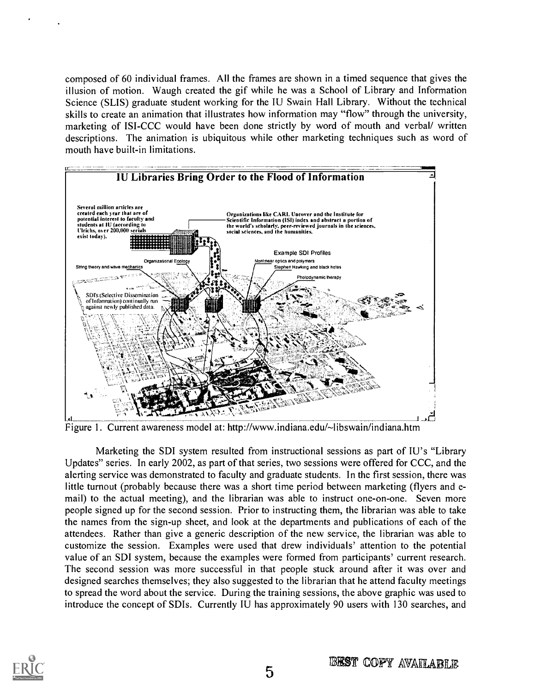composed of 60 individual frames. All the frames are shown in a timed sequence that gives the illusion of motion. Waugh created the gif while he was a School of Library and Information Science (SLIS) graduate student working for the IU Swain Hall Library. Without the technical skills to create an animation that illustrates how information may "flow" through the university, marketing of ISI-CCC would have been done strictly by word of mouth and verbal/ written descriptions. The animation is ubiquitous while other marketing techniques such as word of mouth have built-in limitations.



Figure 1. Current awareness model at: http://www.indiana.edu/~libswain/indiana.htm

Marketing the SDI system resulted from instructional sessions as part of IU's "Library Updates" series. In early 2002, as part of that series, two sessions were offered for CCC, and the alerting service was demonstrated to faculty and graduate students. In the first session, there was little turnout (probably because there was a short time period between marketing (flyers and email) to the actual meeting), and the librarian was able to instruct one-on-one. Seven more people signed up for the second session. Prior to instructing them, the librarian was able to take the names from the sign-up sheet, and look at the departments and publications of each of the attendees. Rather than give a generic description of the new service, the librarian was able to customize the session. Examples were used that drew individuals' attention to the potential value of an SDI system, because the examples were formed from participants' current research. The second session was more successful in that people stuck around after it was over and designed searches themselves; they also suggested to the librarian that he attend faculty meetings to spread the word about the service. During the training sessions, the above graphic was used to introduce the concept of SDIs. Currently IU has approximately 90 users with 130 searches, and

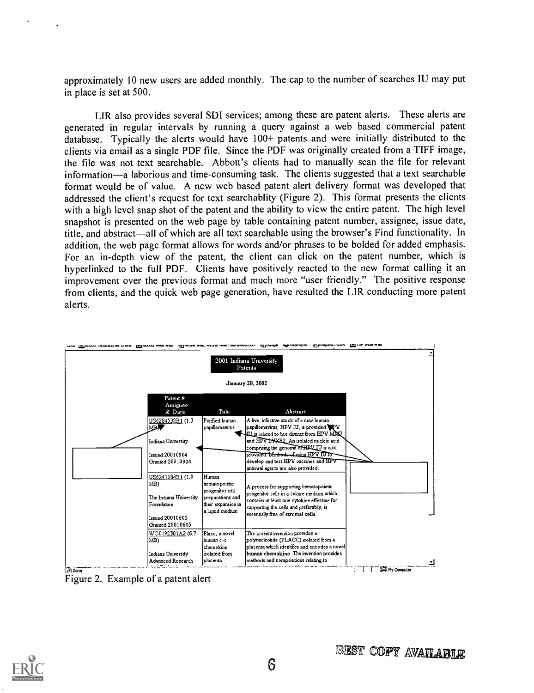approximately 10 new users are added monthly. The cap to the number of searches IU may put in place is set at 500.

LIR also provides several SDI services; among these are patent alerts. These alerts are generated in regular intervals by running a query against a web based commercial patent database. Typically the alerts would have 100+ patents and were initially distributed to the clients via email as a single PDF file. Since the PDF was originally created from a TIFF image, the file was not text searchable. Abbott's clients had to manually scan the file for relevant information—a laborious and time-consuming task. The clients suggested that a text searchable format would be of value. A new web based patent alert delivery format was developed that addressed the client's request for text searchablity (Figure 2). This format presents the clients with a high level snap shot of the patent and the ability to view the entire patent. The high level snapshot is presented on the web page by table containing patent number, assignee, issue date, title, and abstract—all of which are all text searchable using the browser's Find functionality. In addition, the web page format allows for words and/or phrases to be bolded for added emphasis. For an in-depth view of the patent, the client can click on the patent number, which is hyperlinked to the full PDF. Clients have positively reacted to the new format calling it an improvement over the previous format and much more "user friendly." The positive response from clients, and the quick web page generation, have resulted the LIR conducting more patent alerts.



Figure 2. Example of a patent alert

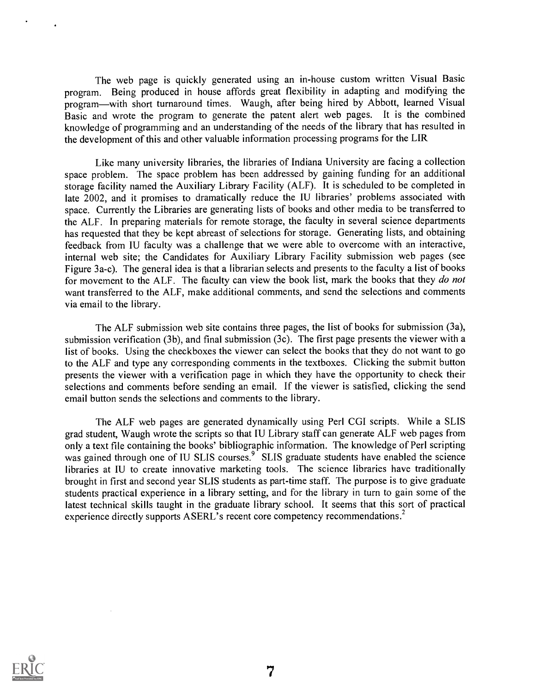The web page is quickly generated using an in-house custom written Visual Basic program. Being produced in house affords great flexibility in adapting and modifying the program—with short turnaround times. Waugh, after being hired by Abbott, learned Visual Basic and wrote the program to generate the patent alert web pages. It is the combined knowledge of programming and an understanding of the needs of the library that has resulted in the development of this and other valuable information processing programs for the LIR

Like many university libraries, the libraries of Indiana University are facing a collection space problem. The space problem has been addressed by gaining funding for an additional storage facility named the Auxiliary Library Facility (ALF). It is scheduled to be completed in late 2002, and it promises to dramatically reduce the IU libraries' problems associated with space. Currently the Libraries are generating lists of books and other media to be transferred to the ALF. In preparing materials for remote storage, the faculty in several science departments has requested that they be kept abreast of selections for storage. Generating lists, and obtaining feedback from IU faculty was a challenge that we were able to overcome with an interactive, internal web site; the Candidates for Auxiliary Library Facility submission web pages (see Figure 3a-c). The general idea is that a librarian selects and presents to the faculty a list of books for movement to the ALF. The faculty can view the book list, mark the books that they do not want transferred to the ALF, make additional comments, and send the selections and comments via email to the library.

The ALF submission web site contains three pages, the list of books for submission (3a), submission verification (3b), and final submission (3c). The first page presents the viewer with a list of books. Using the checkboxes the viewer can select the books that they do not want to go to the ALF and type any corresponding comments in the textboxes. Clicking the submit button presents the viewer with a verification page in which they have the opportunity to check their selections and comments before sending an email. If the viewer is satisfied, clicking the send email button sends the selections and comments to the library.

The ALF web pages are generated dynamically using Perl CGI scripts. While a SLIS grad student, Waugh wrote the scripts so that IU Library staff can generate ALF web pages from only a text file containing the books' bibliographic information. The knowledge of Perl scripting was gained through one of IU SLIS courses.<sup>9</sup> SLIS graduate students have enabled the science libraries at IU to create innovative marketing tools. The science libraries have traditionally brought in first and second year SLIS students as part-time staff. The purpose is to give graduate students practical experience in a library setting, and for the library in turn to gain some of the latest technical skills taught in the graduate library school. It seems that this sort of practical experience directly supports ASERL's recent core competency recommendations.<sup>2</sup>

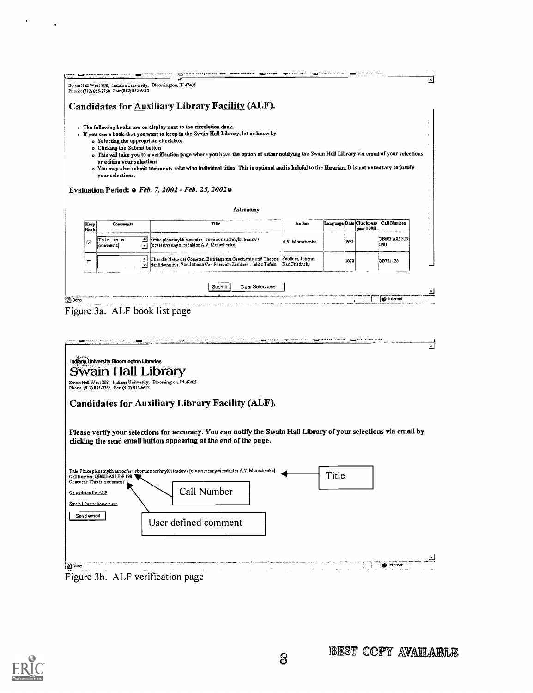|              | o Selecting the appropriate checkbox<br>o Clicking the Submit button<br>or editing your selections<br>your selections. | . The following books are on display next to the circulation desk.<br>• If you see a book that you want to keep in the Swain Hall Library, let us know by<br>o This will take you to a verification page where you have the option of either notifying the Swain Hall Library via email of your selections<br>o You may also submit comments related to individual titles. This is optional and is helpful to the librarian. It is not necessary to justify<br>Evaluation Period: o Feb. 7, 2002 - Feb. 25, 2002 o<br>Astronomy |                                     |                         |      |           |                       |
|--------------|------------------------------------------------------------------------------------------------------------------------|---------------------------------------------------------------------------------------------------------------------------------------------------------------------------------------------------------------------------------------------------------------------------------------------------------------------------------------------------------------------------------------------------------------------------------------------------------------------------------------------------------------------------------|-------------------------------------|-------------------------|------|-----------|-----------------------|
| Keep<br>Book | <b>Comments</b>                                                                                                        | Title                                                                                                                                                                                                                                                                                                                                                                                                                                                                                                                           | Author                              | Language Date Checkouts |      | post 1990 | Call Number           |
| σ            | ∸<br>This is a<br>comment<br>÷                                                                                         | Fizika planetnykh atmosfer : sbornik nauchnykh trudov /<br>[otvetstvennyæi redaktor A.V. Morozhenko]                                                                                                                                                                                                                                                                                                                                                                                                                            | A.V. Morozhenko                     |                         | 1981 |           | OB603.A85 F59<br>1981 |
| г            |                                                                                                                        | Uber die Natur der Cometen. Beitrèage zur Geschichte und Theorie<br>der Erkenntnis, Von Johann Carl Friedrich Zèoliner … Mit x Tafeln.                                                                                                                                                                                                                                                                                                                                                                                          | Zeoliner, Johann<br>Karl Friedrich. |                         | 1872 |           | OB721 28              |
|              |                                                                                                                        | Clear Selections<br>Submit                                                                                                                                                                                                                                                                                                                                                                                                                                                                                                      |                                     |                         |      |           |                       |
|              |                                                                                                                        |                                                                                                                                                                                                                                                                                                                                                                                                                                                                                                                                 |                                     |                         |      |           | <b>O</b> Internet     |

Indiana University Bloomington Libraries<br>Swain Hall West 208, Indiana University, Bloomington, IN 47405<br>Phone: (812) 855-2758 Fax: (812) 855-6613

| Candidates for Auxiliary Library Facility (ALF). |  |  |  |  |
|--------------------------------------------------|--|--|--|--|
|--------------------------------------------------|--|--|--|--|

Please verify your selections for accuracy. You can notify the Swain Hall Library of your selections via email by clicking the send email button appearing at the end of the page.

| Title: Fizika planetnykh atmosfer : sbornik nauchnykh trudov / [otvetstvennyæi redaktor A.V. Morozhenko]<br>Call Number: QB603.A85 F59 1981<br>Comment: This is a comment |                      |  | Title |                   |  |
|---------------------------------------------------------------------------------------------------------------------------------------------------------------------------|----------------------|--|-------|-------------------|--|
| Candidates for ALF                                                                                                                                                        | Call Number          |  |       |                   |  |
| Swain Library home page                                                                                                                                                   |                      |  |       |                   |  |
| Send email                                                                                                                                                                | User defined comment |  |       |                   |  |
|                                                                                                                                                                           |                      |  |       |                   |  |
| <b>Done</b>                                                                                                                                                               | <b>College</b>       |  |       | <b>O</b> Internet |  |
| Figure 3b. ALF verification page                                                                                                                                          |                      |  |       |                   |  |



 $\ddot{\phantom{1}}$ 

 $\langle \cdot \rangle$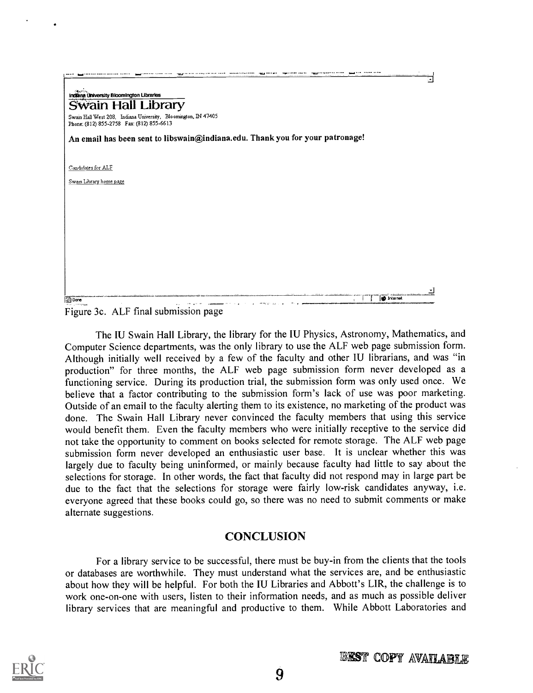| Indiana University Bloomington Libraries                                                                    |  |
|-------------------------------------------------------------------------------------------------------------|--|
| <b>Swain Hall Library</b>                                                                                   |  |
| Swain Hall West 208, Indiana University, Bloomington, IN 47405<br>Phone: (812) 855-2758 Fax: (812) 855-6613 |  |
| An email has been sent to libswain@indiana.edu. Thank you for your patronage!                               |  |
| Candidates for ALF                                                                                          |  |
| Swam Library home page                                                                                      |  |
|                                                                                                             |  |
|                                                                                                             |  |
|                                                                                                             |  |
|                                                                                                             |  |
|                                                                                                             |  |
|                                                                                                             |  |
|                                                                                                             |  |
|                                                                                                             |  |

Figure 3c. ALF final submission page

The IU Swain Hall Library, the library for the IU Physics, Astronomy, Mathematics, and Computer Science departments, was the only library to use the ALF web page submission form. Although initially well received by a few of the faculty and other IU librarians, and was "in production" for three months, the ALF web page submission form never developed as a functioning service. During its production trial, the submission form was only used once. We believe that a factor contributing to the submission form's lack of use was poor marketing. Outside of an email to the faculty alerting them to its existence, no marketing of the product was done. The Swain Hall Library never convinced the faculty members that using this service would benefit them. Even the faculty members who were initially receptive to the service did not take the opportunity to comment on books selected for remote storage. The ALF web page submission form never developed an enthusiastic user base. It is unclear whether this was largely due to faculty being uninformed, or mainly because faculty had little to say about the selections for storage. In other words, the fact that faculty did not respond may in large part be due to the fact that the selections for storage were fairly low-risk candidates anyway, i.e. everyone agreed that these books could go, so there was no need to submit comments or make alternate suggestions.

### **CONCLUSION**

For a library service to be successful, there must be buy-in from the clients that the tools or databases are worthwhile. They must understand what the services are, and be enthusiastic about how they will be helpful. For both the IU Libraries and Abbott's LIR, the challenge is to work one-on-one with users, listen to their information needs, and as much as possible deliver library services that are meaningful and productive to them. While Abbott Laboratories and

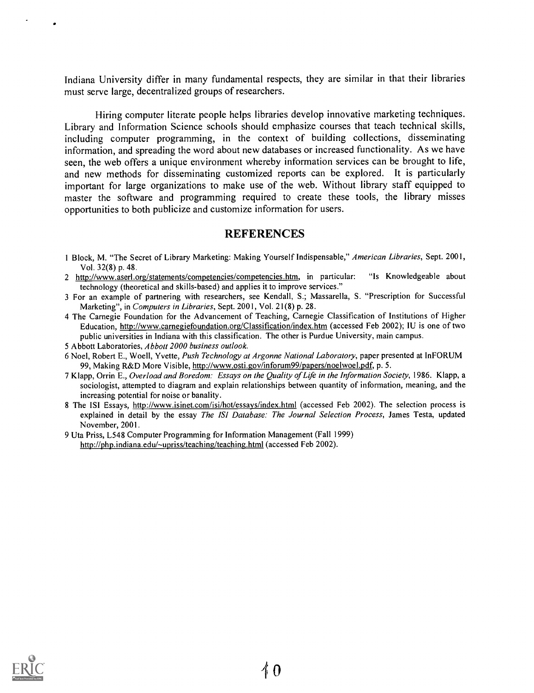Indiana University differ in many fundamental respects, they are similar in that their libraries must serve large, decentralized groups of researchers.

Hiring computer literate people helps libraries develop innovative marketing techniques. Library and Information Science schools should emphasize courses that teach technical skills, including computer programming, in the context of building collections, disseminating information, and spreading the word about new databases or increased functionality. As we have seen, the web offers a unique environment whereby information services can be brought to life, and new methods for disseminating customized reports can be explored. It is particularly important for large organizations to make use of the web. Without library staff equipped to master the software and programming required to create these tools, the library misses opportunities to both publicize and customize information for users.

#### **REFERENCES**

- 1 Block, M. "The Secret of Library Marketing: Making Yourself Indispensable," American Libraries, Sept. 2001, Vol. 32(8) p. 48.
- 2 http://www.aserl.org/statements/competencies/competencies.htm, in particular: "Is Knowledgeable about technology (theoretical and skills-based) and applies it to improve services."
- 3 For an example of partnering with researchers, see Kendall, S.; Massarella, S. "Prescription for Successful Marketing", in Computers in Libraries, Sept. 2001, Vol. 21(8) p. 28.
- 4 The Carnegie Foundation for the Advancement of Teaching, Carnegie Classification of Institutions of Higher Education, http://www.carnegiefoundation.org/Classification/index.htm (accessed Feb 2002); IU is one of two public universities in Indiana with this classification. The other is Purdue University, main campus.
- 5 Abbott Laboratories, Abbott 2000 business outlook.
- 6 Noel, Robert E., Woell, Yvette, Push Technology at Argonne National Laboratory, paper presented at InFORUM 99, Making R&D More Visible, http://www.osti.gov/inforum99/papers/noelwoel.pdf, p. 5.
- 7 Klapp, Orrin E., Overload and Boredom: Essays on the Quality of Life in the Information Society, 1986. Klapp, a sociologist, attempted to diagram and explain relationships between quantity of information, meaning, and the increasing potential for noise or banality.
- 8 The ISI Essays, http://www.isinet.com/isi/hot/essays/index.html (accessed Feb 2002). The selection process is explained in detail by the essay The ISI Database: The Journal Selection Process, James Testa, updated November, 2001.
- 9 Uta Priss, L548 Computer Programming for Information Management (Fall 1999) http://php.indiana.edu/~upriss/teaching/teaching.html (accessed Feb 2002).